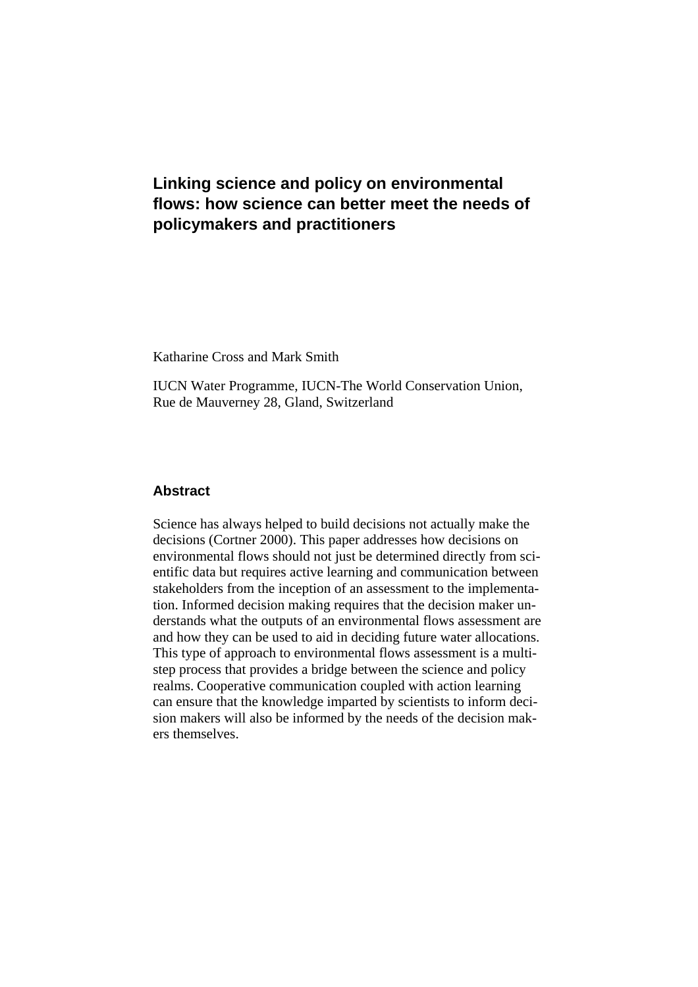# **Linking science and policy on environmental flows: how science can better meet the needs of policymakers and practitioners**

Katharine Cross and Mark Smith

IUCN Water Programme, IUCN-The World Conservation Union, Rue de Mauverney 28, Gland, Switzerland

### **Abstract**

Science has always helped to build decisions not actually make the decisions (Cortner 2000). This paper addresses how decisions on environmental flows should not just be determined directly from scientific data but requires active learning and communication between stakeholders from the inception of an assessment to the implementation. Informed decision making requires that the decision maker understands what the outputs of an environmental flows assessment are and how they can be used to aid in deciding future water allocations. This type of approach to environmental flows assessment is a multistep process that provides a bridge between the science and policy realms. Cooperative communication coupled with action learning can ensure that the knowledge imparted by scientists to inform decision makers will also be informed by the needs of the decision makers themselves.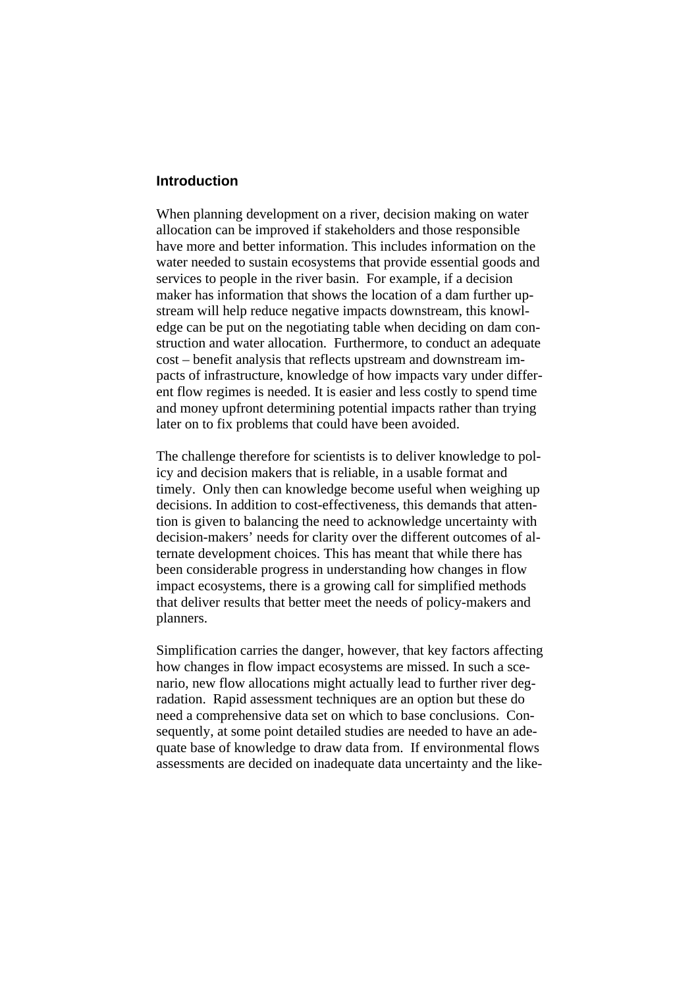#### **Introduction**

When planning development on a river, decision making on water allocation can be improved if stakeholders and those responsible have more and better information. This includes information on the water needed to sustain ecosystems that provide essential goods and services to people in the river basin. For example, if a decision maker has information that shows the location of a dam further upstream will help reduce negative impacts downstream, this knowledge can be put on the negotiating table when deciding on dam construction and water allocation. Furthermore, to conduct an adequate cost – benefit analysis that reflects upstream and downstream impacts of infrastructure, knowledge of how impacts vary under different flow regimes is needed. It is easier and less costly to spend time and money upfront determining potential impacts rather than trying later on to fix problems that could have been avoided.

The challenge therefore for scientists is to deliver knowledge to policy and decision makers that is reliable, in a usable format and timely. Only then can knowledge become useful when weighing up decisions. In addition to cost-effectiveness, this demands that attention is given to balancing the need to acknowledge uncertainty with decision-makers' needs for clarity over the different outcomes of alternate development choices. This has meant that while there has been considerable progress in understanding how changes in flow impact ecosystems, there is a growing call for simplified methods that deliver results that better meet the needs of policy-makers and planners.

Simplification carries the danger, however, that key factors affecting how changes in flow impact ecosystems are missed. In such a scenario, new flow allocations might actually lead to further river degradation. Rapid assessment techniques are an option but these do need a comprehensive data set on which to base conclusions. Consequently, at some point detailed studies are needed to have an adequate base of knowledge to draw data from. If environmental flows assessments are decided on inadequate data uncertainty and the like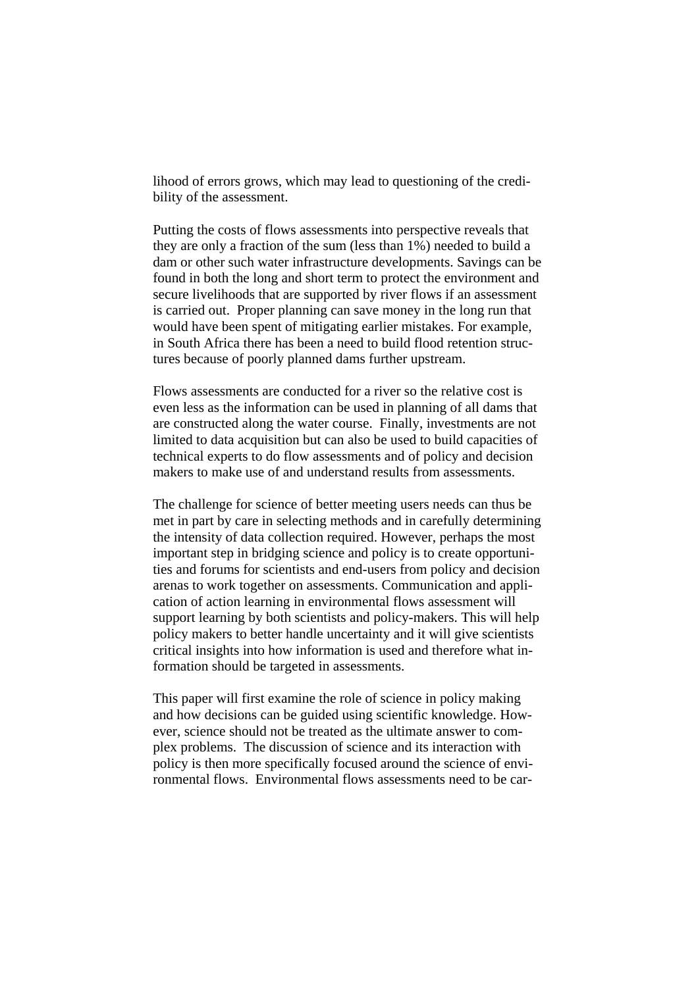lihood of errors grows, which may lead to questioning of the credibility of the assessment.

Putting the costs of flows assessments into perspective reveals that they are only a fraction of the sum (less than 1%) needed to build a dam or other such water infrastructure developments. Savings can be found in both the long and short term to protect the environment and secure livelihoods that are supported by river flows if an assessment is carried out. Proper planning can save money in the long run that would have been spent of mitigating earlier mistakes. For example, in South Africa there has been a need to build flood retention structures because of poorly planned dams further upstream.

Flows assessments are conducted for a river so the relative cost is even less as the information can be used in planning of all dams that are constructed along the water course. Finally, investments are not limited to data acquisition but can also be used to build capacities of technical experts to do flow assessments and of policy and decision makers to make use of and understand results from assessments.

The challenge for science of better meeting users needs can thus be met in part by care in selecting methods and in carefully determining the intensity of data collection required. However, perhaps the most important step in bridging science and policy is to create opportunities and forums for scientists and end-users from policy and decision arenas to work together on assessments. Communication and application of action learning in environmental flows assessment will support learning by both scientists and policy-makers. This will help policy makers to better handle uncertainty and it will give scientists critical insights into how information is used and therefore what information should be targeted in assessments.

This paper will first examine the role of science in policy making and how decisions can be guided using scientific knowledge. However, science should not be treated as the ultimate answer to complex problems. The discussion of science and its interaction with policy is then more specifically focused around the science of environmental flows. Environmental flows assessments need to be car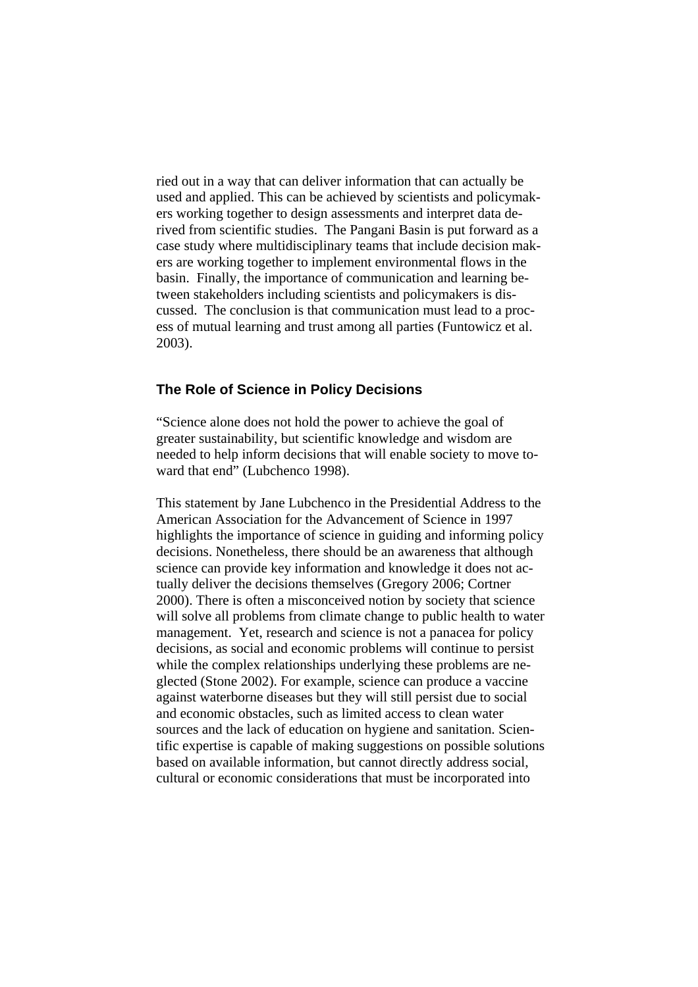ried out in a way that can deliver information that can actually be used and applied. This can be achieved by scientists and policymakers working together to design assessments and interpret data derived from scientific studies. The Pangani Basin is put forward as a case study where multidisciplinary teams that include decision makers are working together to implement environmental flows in the basin. Finally, the importance of communication and learning between stakeholders including scientists and policymakers is discussed. The conclusion is that communication must lead to a process of mutual learning and trust among all parties (Funtowicz et al. 2003).

### **The Role of Science in Policy Decisions**

"Science alone does not hold the power to achieve the goal of greater sustainability, but scientific knowledge and wisdom are needed to help inform decisions that will enable society to move toward that end" (Lubchenco 1998).

This statement by Jane Lubchenco in the Presidential Address to the American Association for the Advancement of Science in 1997 highlights the importance of science in guiding and informing policy decisions. Nonetheless, there should be an awareness that although science can provide key information and knowledge it does not actually deliver the decisions themselves (Gregory 2006; Cortner 2000). There is often a misconceived notion by society that science will solve all problems from climate change to public health to water management. Yet, research and science is not a panacea for policy decisions, as social and economic problems will continue to persist while the complex relationships underlying these problems are neglected (Stone 2002). For example, science can produce a vaccine against waterborne diseases but they will still persist due to social and economic obstacles, such as limited access to clean water sources and the lack of education on hygiene and sanitation. Scientific expertise is capable of making suggestions on possible solutions based on available information, but cannot directly address social, cultural or economic considerations that must be incorporated into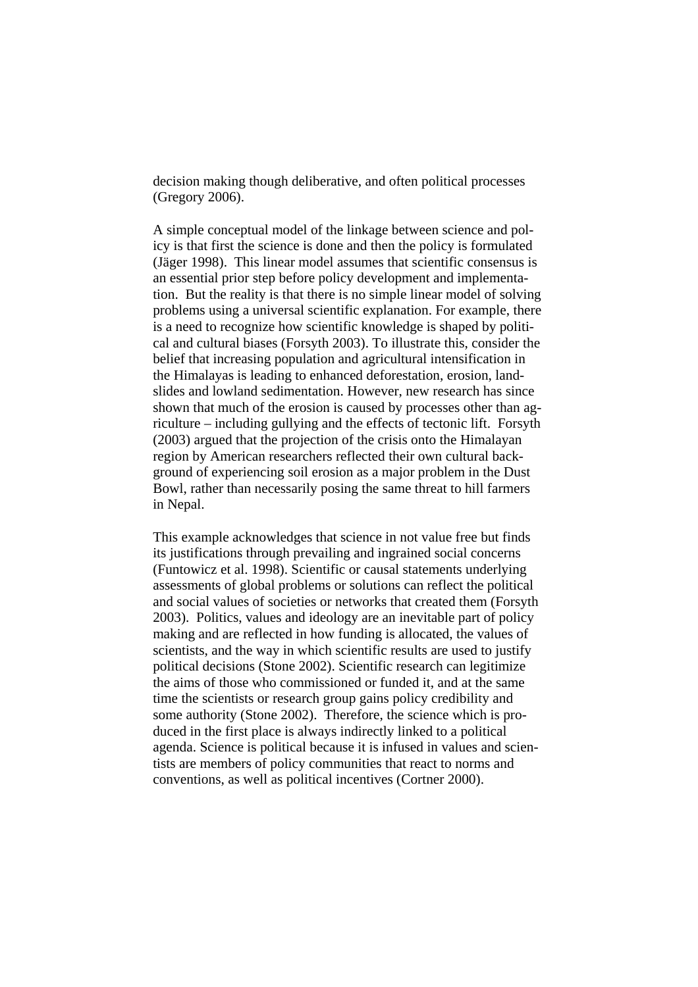decision making though deliberative, and often political processes (Gregory 2006).

A simple conceptual model of the linkage between science and policy is that first the science is done and then the policy is formulated (Jäger 1998). This linear model assumes that scientific consensus is an essential prior step before policy development and implementation. But the reality is that there is no simple linear model of solving problems using a universal scientific explanation. For example, there is a need to recognize how scientific knowledge is shaped by political and cultural biases (Forsyth 2003). To illustrate this, consider the belief that increasing population and agricultural intensification in the Himalayas is leading to enhanced deforestation, erosion, landslides and lowland sedimentation. However, new research has since shown that much of the erosion is caused by processes other than agriculture – including gullying and the effects of tectonic lift. Forsyth (2003) argued that the projection of the crisis onto the Himalayan region by American researchers reflected their own cultural background of experiencing soil erosion as a major problem in the Dust Bowl, rather than necessarily posing the same threat to hill farmers in Nepal.

This example acknowledges that science in not value free but finds its justifications through prevailing and ingrained social concerns (Funtowicz et al. 1998). Scientific or causal statements underlying assessments of global problems or solutions can reflect the political and social values of societies or networks that created them (Forsyth 2003). Politics, values and ideology are an inevitable part of policy making and are reflected in how funding is allocated, the values of scientists, and the way in which scientific results are used to justify political decisions (Stone 2002). Scientific research can legitimize the aims of those who commissioned or funded it, and at the same time the scientists or research group gains policy credibility and some authority (Stone 2002). Therefore, the science which is produced in the first place is always indirectly linked to a political agenda. Science is political because it is infused in values and scientists are members of policy communities that react to norms and conventions, as well as political incentives (Cortner 2000).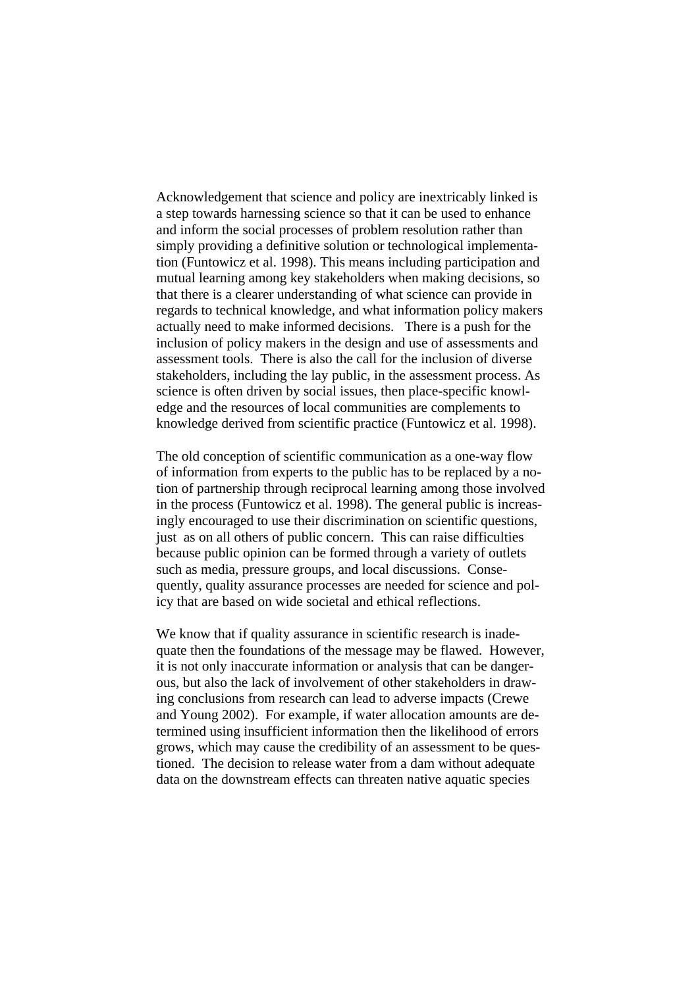Acknowledgement that science and policy are inextricably linked is a step towards harnessing science so that it can be used to enhance and inform the social processes of problem resolution rather than simply providing a definitive solution or technological implementation (Funtowicz et al. 1998). This means including participation and mutual learning among key stakeholders when making decisions, so that there is a clearer understanding of what science can provide in regards to technical knowledge, and what information policy makers actually need to make informed decisions. There is a push for the inclusion of policy makers in the design and use of assessments and assessment tools. There is also the call for the inclusion of diverse stakeholders, including the lay public, in the assessment process. As science is often driven by social issues, then place-specific knowledge and the resources of local communities are complements to knowledge derived from scientific practice (Funtowicz et al. 1998).

The old conception of scientific communication as a one-way flow of information from experts to the public has to be replaced by a notion of partnership through reciprocal learning among those involved in the process (Funtowicz et al. 1998). The general public is increasingly encouraged to use their discrimination on scientific questions, just as on all others of public concern. This can raise difficulties because public opinion can be formed through a variety of outlets such as media, pressure groups, and local discussions. Consequently, quality assurance processes are needed for science and policy that are based on wide societal and ethical reflections.

We know that if quality assurance in scientific research is inadequate then the foundations of the message may be flawed. However, it is not only inaccurate information or analysis that can be dangerous, but also the lack of involvement of other stakeholders in drawing conclusions from research can lead to adverse impacts (Crewe and Young 2002). For example, if water allocation amounts are determined using insufficient information then the likelihood of errors grows, which may cause the credibility of an assessment to be questioned. The decision to release water from a dam without adequate data on the downstream effects can threaten native aquatic species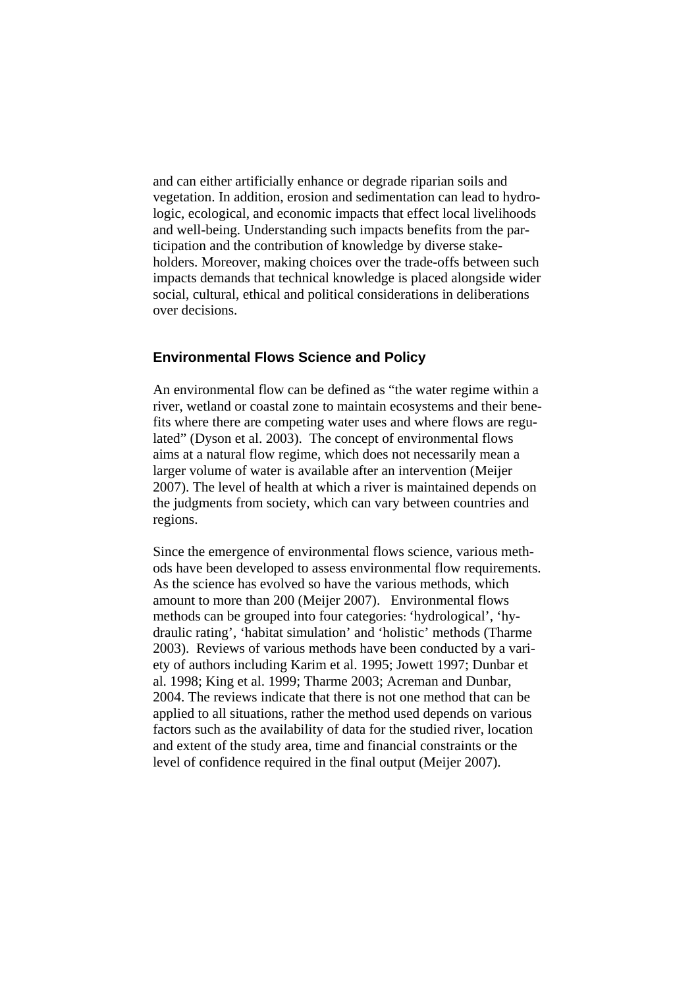and can either artificially enhance or degrade riparian soils and vegetation. In addition, erosion and sedimentation can lead to hydrologic, ecological, and economic impacts that effect local livelihoods and well-being. Understanding such impacts benefits from the participation and the contribution of knowledge by diverse stakeholders. Moreover, making choices over the trade-offs between such impacts demands that technical knowledge is placed alongside wider social, cultural, ethical and political considerations in deliberations over decisions.

### **Environmental Flows Science and Policy**

An environmental flow can be defined as "the water regime within a river, wetland or coastal zone to maintain ecosystems and their benefits where there are competing water uses and where flows are regulated" (Dyson et al. 2003). The concept of environmental flows aims at a natural flow regime, which does not necessarily mean a larger volume of water is available after an intervention (Meijer 2007). The level of health at which a river is maintained depends on the judgments from society, which can vary between countries and regions.

Since the emergence of environmental flows science, various methods have been developed to assess environmental flow requirements. As the science has evolved so have the various methods, which amount to more than 200 (Meijer 2007). Environmental flows methods can be grouped into four categories: 'hydrological', 'hydraulic rating', 'habitat simulation' and 'holistic' methods (Tharme 2003). Reviews of various methods have been conducted by a variety of authors including Karim et al. 1995; Jowett 1997; Dunbar et al. 1998; King et al. 1999; Tharme 2003; Acreman and Dunbar, 2004. The reviews indicate that there is not one method that can be applied to all situations, rather the method used depends on various factors such as the availability of data for the studied river, location and extent of the study area, time and financial constraints or the level of confidence required in the final output (Meijer 2007).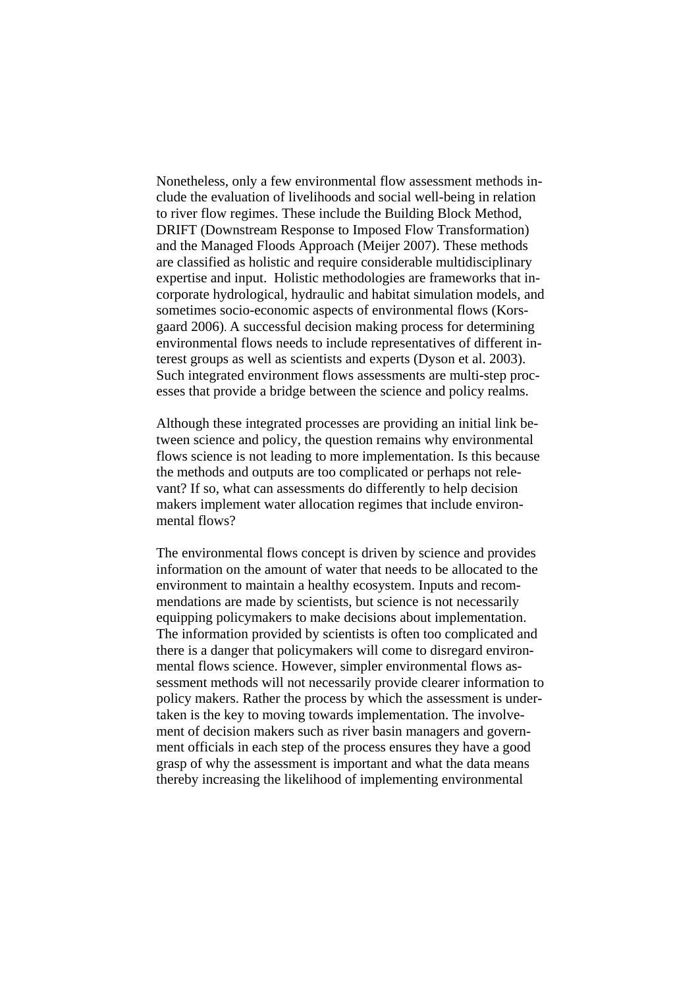Nonetheless, only a few environmental flow assessment methods include the evaluation of livelihoods and social well-being in relation to river flow regimes. These include the Building Block Method, DRIFT (Downstream Response to Imposed Flow Transformation) and the Managed Floods Approach (Meijer 2007). These methods are classified as holistic and require considerable multidisciplinary expertise and input. Holistic methodologies are frameworks that incorporate hydrological, hydraulic and habitat simulation models, and sometimes socio-economic aspects of environmental flows (Korsgaard 2006). A successful decision making process for determining environmental flows needs to include representatives of different interest groups as well as scientists and experts (Dyson et al. 2003). Such integrated environment flows assessments are multi-step processes that provide a bridge between the science and policy realms.

Although these integrated processes are providing an initial link between science and policy, the question remains why environmental flows science is not leading to more implementation. Is this because the methods and outputs are too complicated or perhaps not relevant? If so, what can assessments do differently to help decision makers implement water allocation regimes that include environmental flows?

The environmental flows concept is driven by science and provides information on the amount of water that needs to be allocated to the environment to maintain a healthy ecosystem. Inputs and recommendations are made by scientists, but science is not necessarily equipping policymakers to make decisions about implementation. The information provided by scientists is often too complicated and there is a danger that policymakers will come to disregard environmental flows science. However, simpler environmental flows assessment methods will not necessarily provide clearer information to policy makers. Rather the process by which the assessment is undertaken is the key to moving towards implementation. The involvement of decision makers such as river basin managers and government officials in each step of the process ensures they have a good grasp of why the assessment is important and what the data means thereby increasing the likelihood of implementing environmental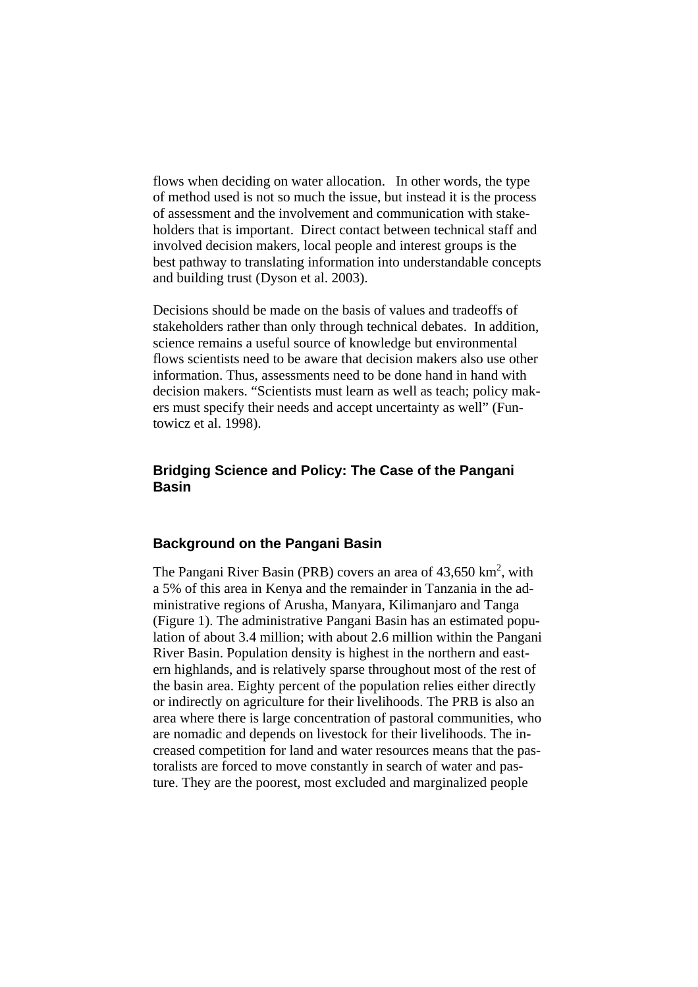flows when deciding on water allocation. In other words, the type of method used is not so much the issue, but instead it is the process of assessment and the involvement and communication with stakeholders that is important. Direct contact between technical staff and involved decision makers, local people and interest groups is the best pathway to translating information into understandable concepts and building trust (Dyson et al. 2003).

Decisions should be made on the basis of values and tradeoffs of stakeholders rather than only through technical debates. In addition, science remains a useful source of knowledge but environmental flows scientists need to be aware that decision makers also use other information. Thus, assessments need to be done hand in hand with decision makers. "Scientists must learn as well as teach; policy makers must specify their needs and accept uncertainty as well" (Funtowicz et al. 1998).

# **Bridging Science and Policy: The Case of the Pangani Basin**

### **Background on the Pangani Basin**

The Pangani River Basin (PRB) covers an area of  $43,650 \text{ km}^2$ , with a 5% of this area in Kenya and the remainder in Tanzania in the administrative regions of Arusha, Manyara, Kilimanjaro and Tanga (Figure 1). The administrative Pangani Basin has an estimated population of about 3.4 million; with about 2.6 million within the Pangani River Basin. Population density is highest in the northern and eastern highlands, and is relatively sparse throughout most of the rest of the basin area. Eighty percent of the population relies either directly or indirectly on agriculture for their livelihoods. The PRB is also an area where there is large concentration of pastoral communities, who are nomadic and depends on livestock for their livelihoods. The increased competition for land and water resources means that the pastoralists are forced to move constantly in search of water and pasture. They are the poorest, most excluded and marginalized people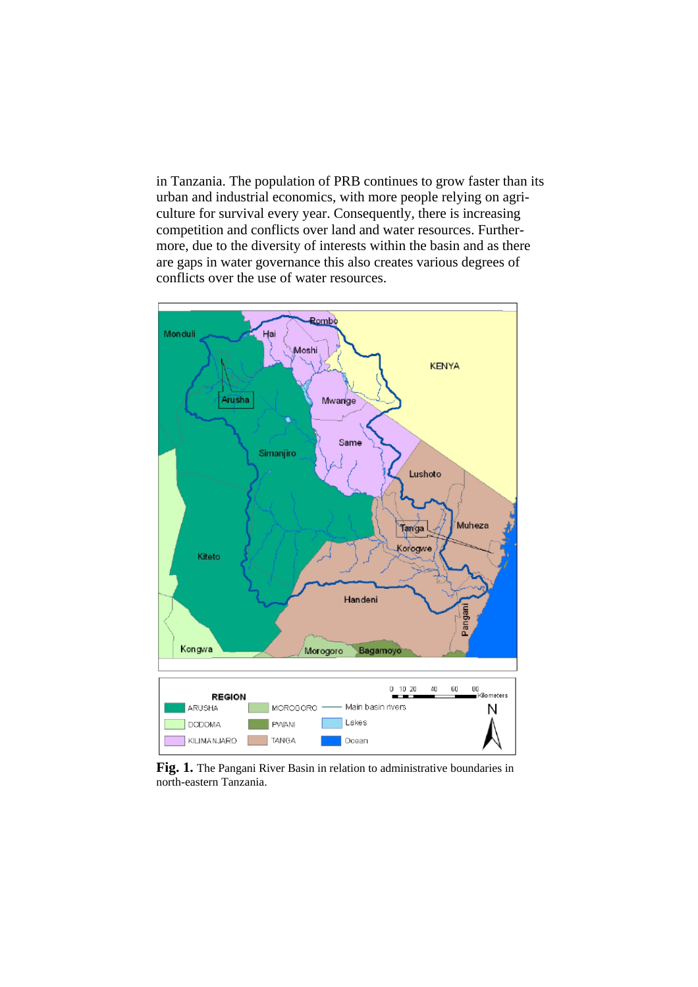in Tanzania. The population of PRB continues to grow faster than its urban and industrial economics, with more people relying on agriculture for survival every year. Consequently, there is increasing competition and conflicts over land and water resources. Furthermore, due to the diversity of interests within the basin and as there are gaps in water governance this also creates various degrees of conflicts over the use of water resources.



Fig. 1. The Pangani River Basin in relation to administrative boundaries in north-eastern Tanzania.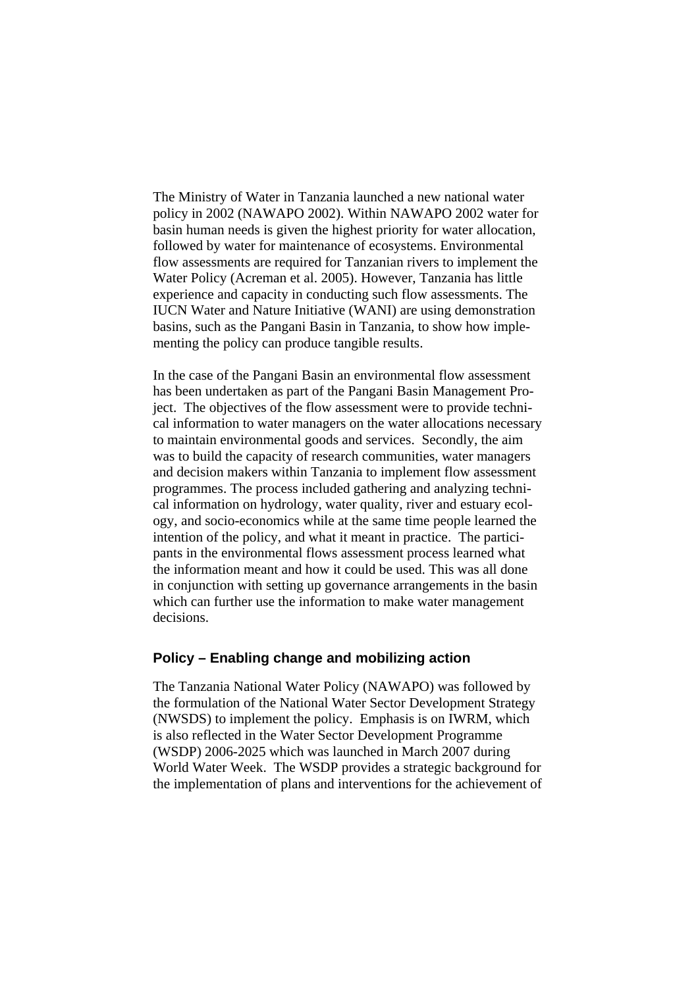The Ministry of Water in Tanzania launched a new national water policy in 2002 (NAWAPO 2002). Within NAWAPO 2002 water for basin human needs is given the highest priority for water allocation, followed by water for maintenance of ecosystems. Environmental flow assessments are required for Tanzanian rivers to implement the Water Policy (Acreman et al. 2005). However, Tanzania has little experience and capacity in conducting such flow assessments. The IUCN Water and Nature Initiative (WANI) are using demonstration basins, such as the Pangani Basin in Tanzania, to show how implementing the policy can produce tangible results.

In the case of the Pangani Basin an environmental flow assessment has been undertaken as part of the Pangani Basin Management Project. The objectives of the flow assessment were to provide technical information to water managers on the water allocations necessary to maintain environmental goods and services. Secondly, the aim was to build the capacity of research communities, water managers and decision makers within Tanzania to implement flow assessment programmes. The process included gathering and analyzing technical information on hydrology, water quality, river and estuary ecology, and socio-economics while at the same time people learned the intention of the policy, and what it meant in practice. The participants in the environmental flows assessment process learned what the information meant and how it could be used. This was all done in conjunction with setting up governance arrangements in the basin which can further use the information to make water management decisions.

## **Policy – Enabling change and mobilizing action**

The Tanzania National Water Policy (NAWAPO) was followed by the formulation of the National Water Sector Development Strategy (NWSDS) to implement the policy. Emphasis is on IWRM, which is also reflected in the Water Sector Development Programme (WSDP) 2006-2025 which was launched in March 2007 during World Water Week. The WSDP provides a strategic background for the implementation of plans and interventions for the achievement of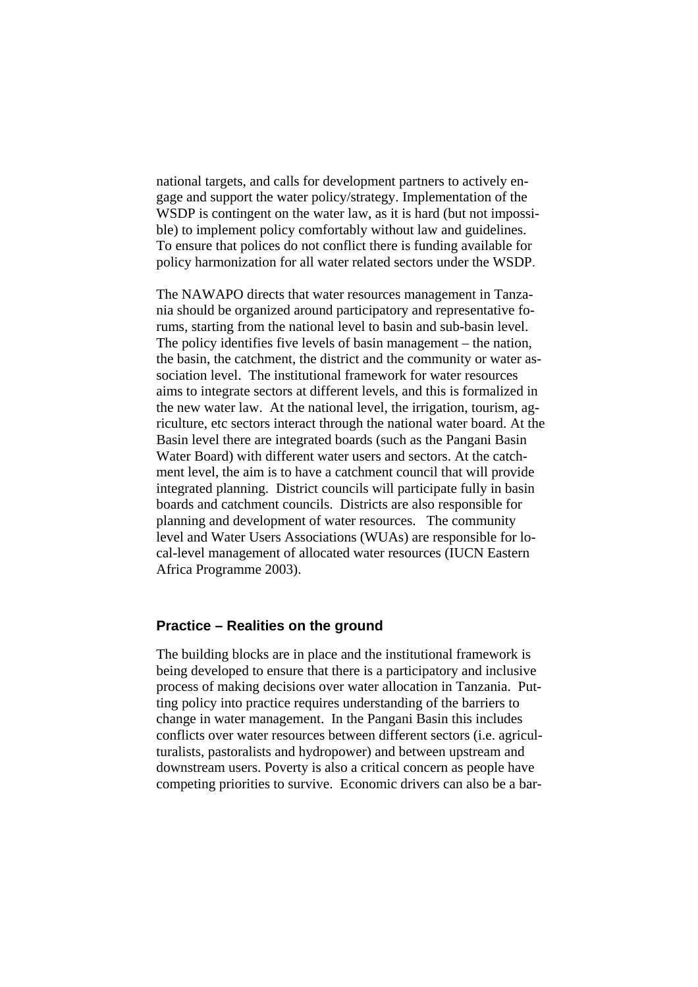national targets, and calls for development partners to actively engage and support the water policy/strategy. Implementation of the WSDP is contingent on the water law, as it is hard (but not impossible) to implement policy comfortably without law and guidelines. To ensure that polices do not conflict there is funding available for policy harmonization for all water related sectors under the WSDP.

The NAWAPO directs that water resources management in Tanzania should be organized around participatory and representative forums, starting from the national level to basin and sub-basin level. The policy identifies five levels of basin management – the nation, the basin, the catchment, the district and the community or water association level. The institutional framework for water resources aims to integrate sectors at different levels, and this is formalized in the new water law. At the national level, the irrigation, tourism, agriculture, etc sectors interact through the national water board. At the Basin level there are integrated boards (such as the Pangani Basin Water Board) with different water users and sectors. At the catchment level, the aim is to have a catchment council that will provide integrated planning. District councils will participate fully in basin boards and catchment councils. Districts are also responsible for planning and development of water resources. The community level and Water Users Associations (WUAs) are responsible for local-level management of allocated water resources (IUCN Eastern Africa Programme 2003).

# **Practice – Realities on the ground**

The building blocks are in place and the institutional framework is being developed to ensure that there is a participatory and inclusive process of making decisions over water allocation in Tanzania. Putting policy into practice requires understanding of the barriers to change in water management. In the Pangani Basin this includes conflicts over water resources between different sectors (i.e. agriculturalists, pastoralists and hydropower) and between upstream and downstream users. Poverty is also a critical concern as people have competing priorities to survive. Economic drivers can also be a bar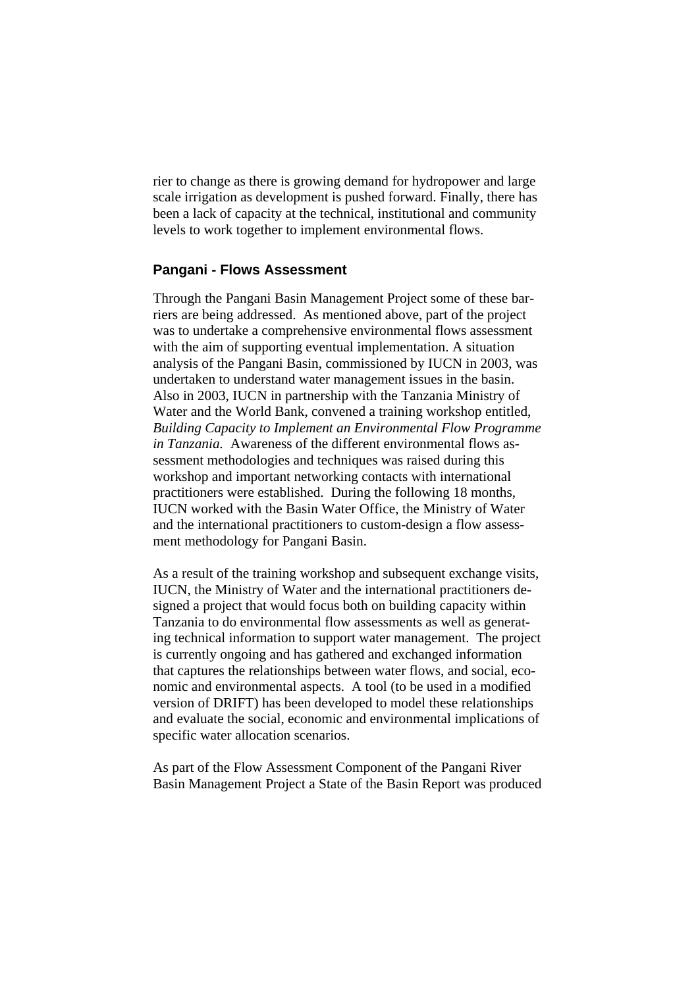rier to change as there is growing demand for hydropower and large scale irrigation as development is pushed forward. Finally, there has been a lack of capacity at the technical, institutional and community levels to work together to implement environmental flows.

### **Pangani - Flows Assessment**

Through the Pangani Basin Management Project some of these barriers are being addressed. As mentioned above, part of the project was to undertake a comprehensive environmental flows assessment with the aim of supporting eventual implementation. A situation analysis of the Pangani Basin, commissioned by IUCN in 2003, was undertaken to understand water management issues in the basin. Also in 2003, IUCN in partnership with the Tanzania Ministry of Water and the World Bank, convened a training workshop entitled, *Building Capacity to Implement an Environmental Flow Programme in Tanzania.* Awareness of the different environmental flows assessment methodologies and techniques was raised during this workshop and important networking contacts with international practitioners were established. During the following 18 months, IUCN worked with the Basin Water Office, the Ministry of Water and the international practitioners to custom-design a flow assessment methodology for Pangani Basin.

As a result of the training workshop and subsequent exchange visits, IUCN, the Ministry of Water and the international practitioners designed a project that would focus both on building capacity within Tanzania to do environmental flow assessments as well as generating technical information to support water management. The project is currently ongoing and has gathered and exchanged information that captures the relationships between water flows, and social, economic and environmental aspects. A tool (to be used in a modified version of DRIFT) has been developed to model these relationships and evaluate the social, economic and environmental implications of specific water allocation scenarios.

As part of the Flow Assessment Component of the Pangani River Basin Management Project a State of the Basin Report was produced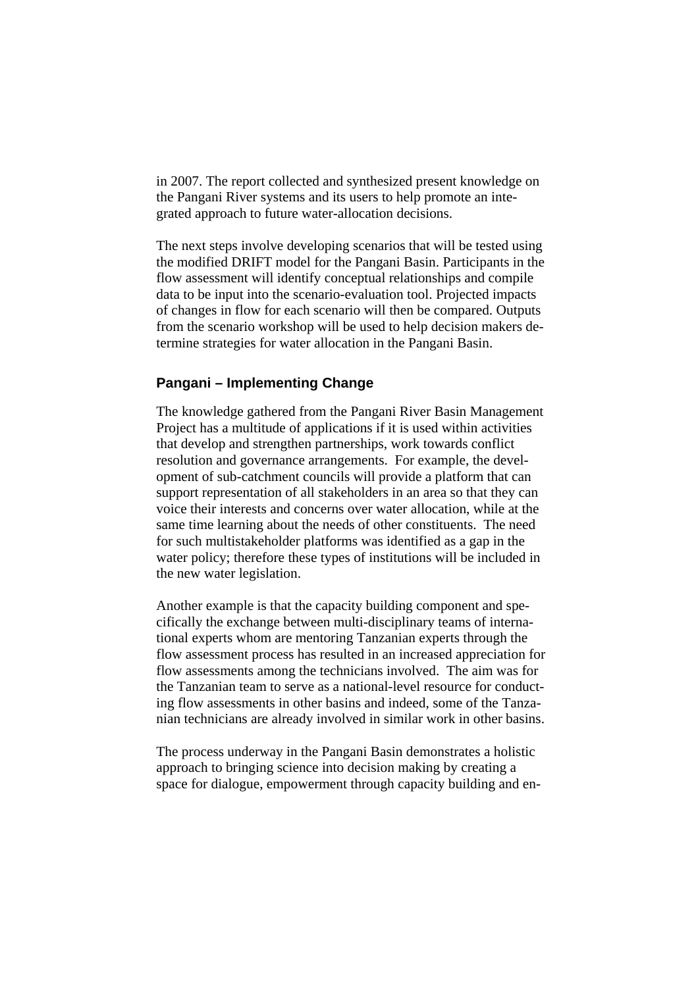in 2007. The report collected and synthesized present knowledge on the Pangani River systems and its users to help promote an integrated approach to future water-allocation decisions.

The next steps involve developing scenarios that will be tested using the modified DRIFT model for the Pangani Basin. Participants in the flow assessment will identify conceptual relationships and compile data to be input into the scenario-evaluation tool. Projected impacts of changes in flow for each scenario will then be compared. Outputs from the scenario workshop will be used to help decision makers determine strategies for water allocation in the Pangani Basin.

### **Pangani – Implementing Change**

The knowledge gathered from the Pangani River Basin Management Project has a multitude of applications if it is used within activities that develop and strengthen partnerships, work towards conflict resolution and governance arrangements. For example, the development of sub-catchment councils will provide a platform that can support representation of all stakeholders in an area so that they can voice their interests and concerns over water allocation, while at the same time learning about the needs of other constituents. The need for such multistakeholder platforms was identified as a gap in the water policy; therefore these types of institutions will be included in the new water legislation.

Another example is that the capacity building component and specifically the exchange between multi-disciplinary teams of international experts whom are mentoring Tanzanian experts through the flow assessment process has resulted in an increased appreciation for flow assessments among the technicians involved. The aim was for the Tanzanian team to serve as a national-level resource for conducting flow assessments in other basins and indeed, some of the Tanzanian technicians are already involved in similar work in other basins.

The process underway in the Pangani Basin demonstrates a holistic approach to bringing science into decision making by creating a space for dialogue, empowerment through capacity building and en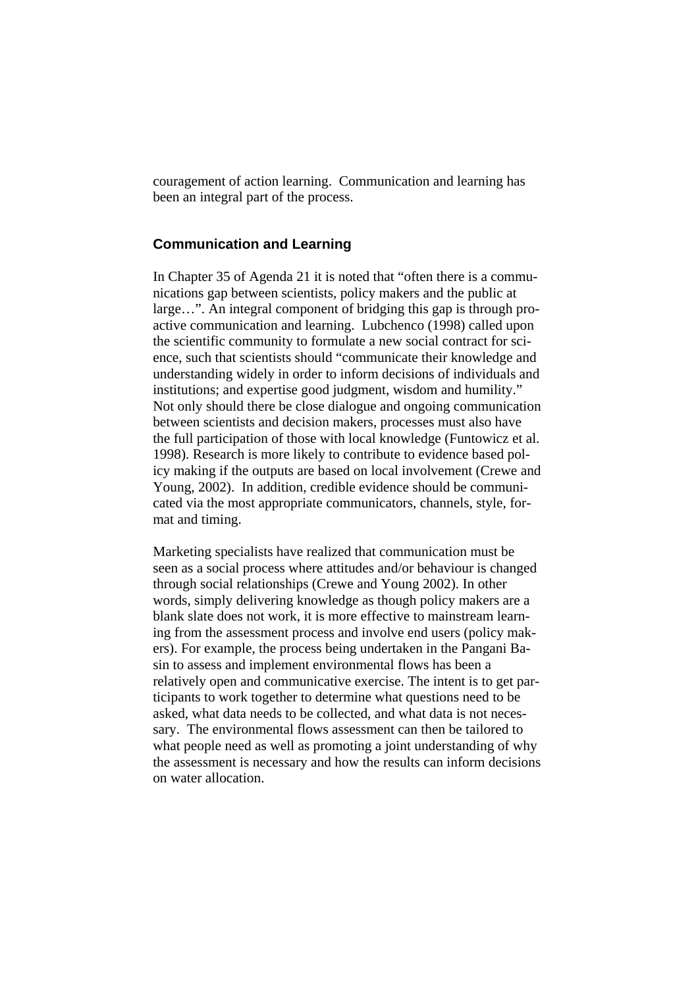couragement of action learning. Communication and learning has been an integral part of the process.

### **Communication and Learning**

In Chapter 35 of Agenda 21 it is noted that "often there is a communications gap between scientists, policy makers and the public at large…". An integral component of bridging this gap is through proactive communication and learning. Lubchenco (1998) called upon the scientific community to formulate a new social contract for science, such that scientists should "communicate their knowledge and understanding widely in order to inform decisions of individuals and institutions; and expertise good judgment, wisdom and humility." Not only should there be close dialogue and ongoing communication between scientists and decision makers, processes must also have the full participation of those with local knowledge (Funtowicz et al. 1998). Research is more likely to contribute to evidence based policy making if the outputs are based on local involvement (Crewe and Young, 2002). In addition, credible evidence should be communicated via the most appropriate communicators, channels, style, format and timing.

Marketing specialists have realized that communication must be seen as a social process where attitudes and/or behaviour is changed through social relationships (Crewe and Young 2002). In other words, simply delivering knowledge as though policy makers are a blank slate does not work, it is more effective to mainstream learning from the assessment process and involve end users (policy makers). For example, the process being undertaken in the Pangani Basin to assess and implement environmental flows has been a relatively open and communicative exercise. The intent is to get participants to work together to determine what questions need to be asked, what data needs to be collected, and what data is not necessary. The environmental flows assessment can then be tailored to what people need as well as promoting a joint understanding of why the assessment is necessary and how the results can inform decisions on water allocation.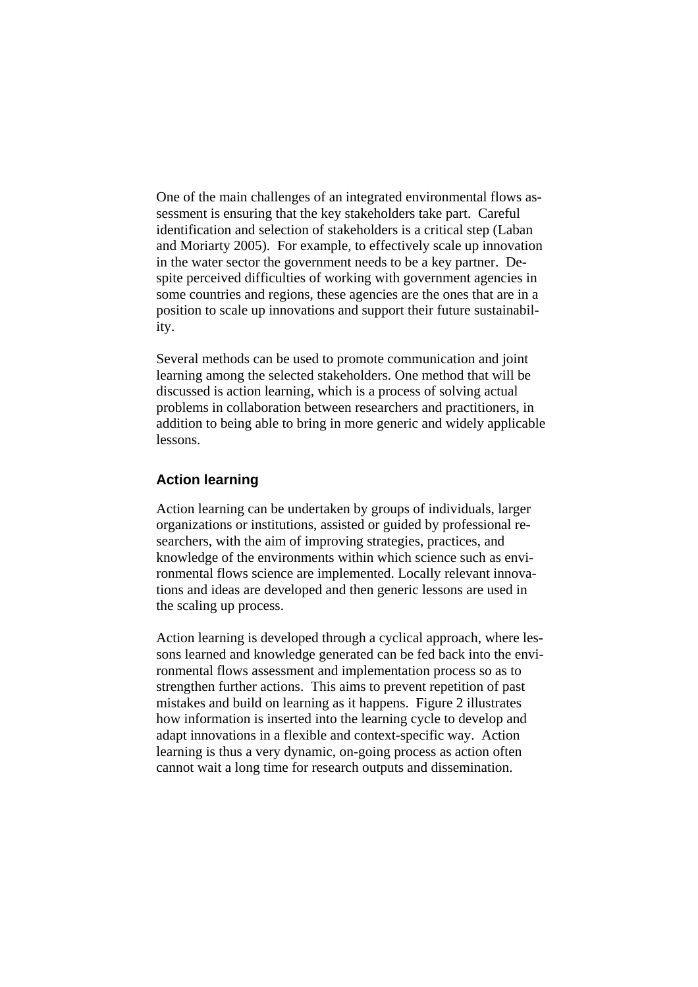One of the main challenges of an integrated environmental flows assessment is ensuring that the key stakeholders take part. Careful identification and selection of stakeholders is a critical step (Laban and Moriarty 2005). For example, to effectively scale up innovation in the water sector the government needs to be a key partner. Despite perceived difficulties of working with government agencies in some countries and regions, these agencies are the ones that are in a position to scale up innovations and support their future sustainability.

Several methods can be used to promote communication and joint learning among the selected stakeholders. One method that will be discussed is action learning, which is a process of solving actual problems in collaboration between researchers and practitioners, in addition to being able to bring in more generic and widely applicable lessons.

# **Action learning**

Action learning can be undertaken by groups of individuals, larger organizations or institutions, assisted or guided by professional researchers, with the aim of improving strategies, practices, and knowledge of the environments within which science such as environmental flows science are implemented. Locally relevant innovations and ideas are developed and then generic lessons are used in the scaling up process.

Action learning is developed through a cyclical approach, where lessons learned and knowledge generated can be fed back into the environmental flows assessment and implementation process so as to strengthen further actions. This aims to prevent repetition of past mistakes and build on learning as it happens. Figure 2 illustrates how information is inserted into the learning cycle to develop and adapt innovations in a flexible and context-specific way. Action learning is thus a very dynamic, on-going process as action often cannot wait a long time for research outputs and dissemination.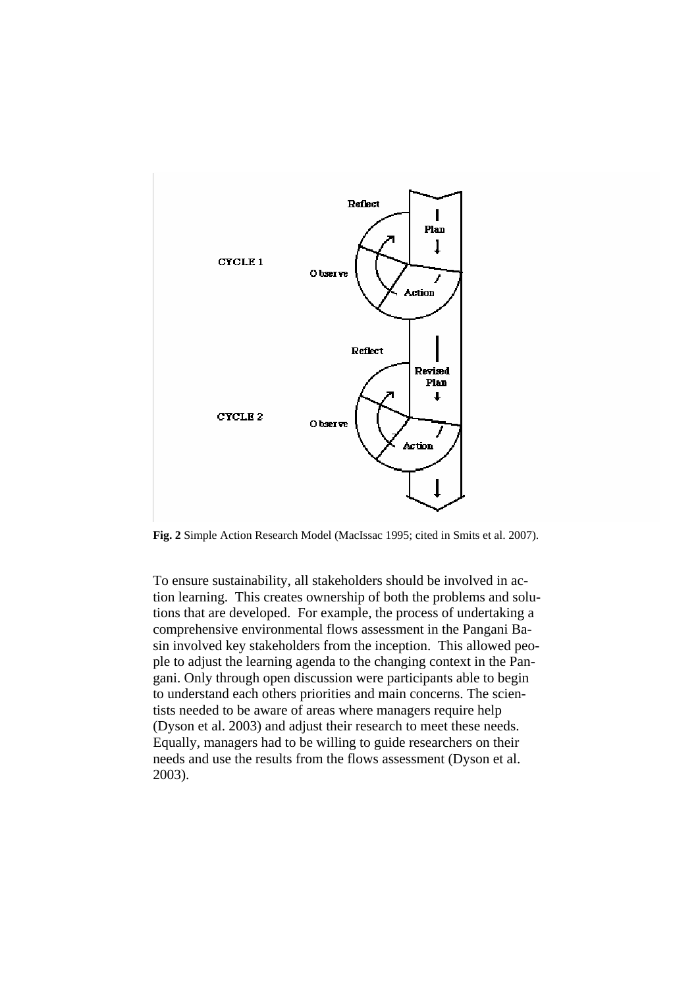

**Fig. 2** Simple Action Research Model (MacIssac 1995; cited in Smits et al. 2007).

To ensure sustainability, all stakeholders should be involved in action learning. This creates ownership of both the problems and solutions that are developed. For example, the process of undertaking a comprehensive environmental flows assessment in the Pangani Basin involved key stakeholders from the inception. This allowed people to adjust the learning agenda to the changing context in the Pangani. Only through open discussion were participants able to begin to understand each others priorities and main concerns. The scientists needed to be aware of areas where managers require help (Dyson et al. 2003) and adjust their research to meet these needs. Equally, managers had to be willing to guide researchers on their needs and use the results from the flows assessment (Dyson et al. 2003).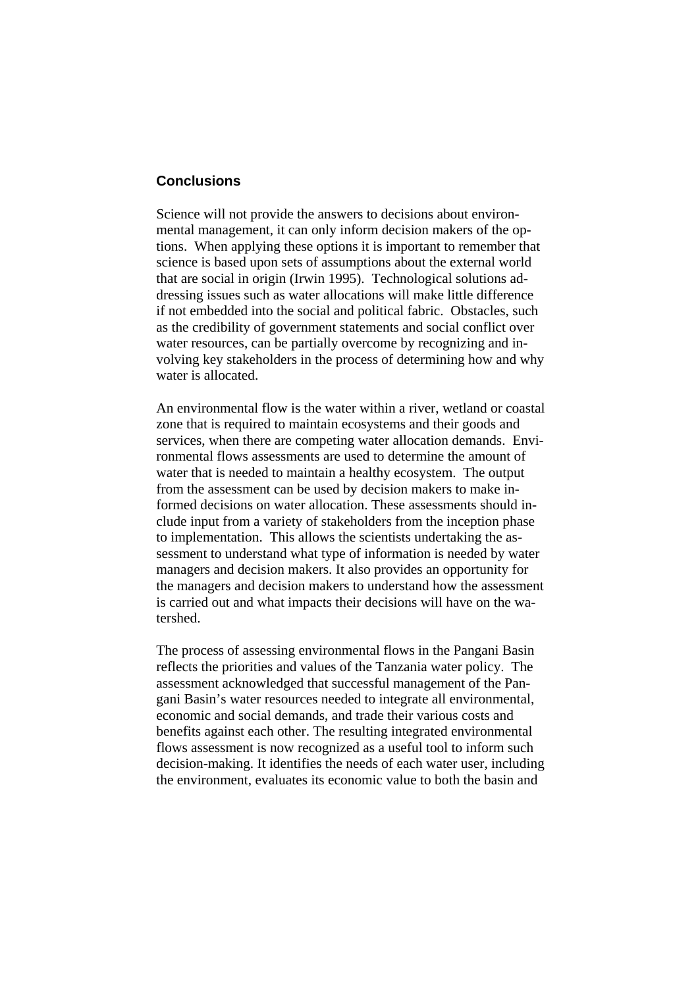### **Conclusions**

Science will not provide the answers to decisions about environmental management, it can only inform decision makers of the options. When applying these options it is important to remember that science is based upon sets of assumptions about the external world that are social in origin (Irwin 1995). Technological solutions addressing issues such as water allocations will make little difference if not embedded into the social and political fabric. Obstacles, such as the credibility of government statements and social conflict over water resources, can be partially overcome by recognizing and involving key stakeholders in the process of determining how and why water is allocated.

An environmental flow is the water within a river, wetland or coastal zone that is required to maintain ecosystems and their goods and services, when there are competing water allocation demands. Environmental flows assessments are used to determine the amount of water that is needed to maintain a healthy ecosystem. The output from the assessment can be used by decision makers to make informed decisions on water allocation. These assessments should include input from a variety of stakeholders from the inception phase to implementation. This allows the scientists undertaking the assessment to understand what type of information is needed by water managers and decision makers. It also provides an opportunity for the managers and decision makers to understand how the assessment is carried out and what impacts their decisions will have on the watershed.

The process of assessing environmental flows in the Pangani Basin reflects the priorities and values of the Tanzania water policy. The assessment acknowledged that successful management of the Pangani Basin's water resources needed to integrate all environmental, economic and social demands, and trade their various costs and benefits against each other. The resulting integrated environmental flows assessment is now recognized as a useful tool to inform such decision-making. It identifies the needs of each water user, including the environment, evaluates its economic value to both the basin and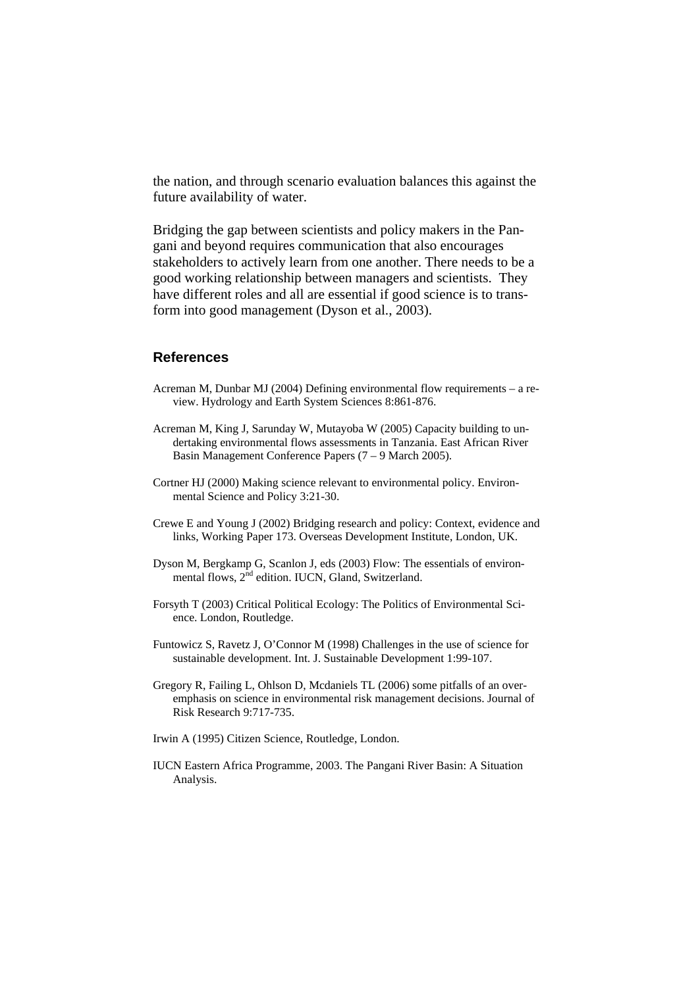the nation, and through scenario evaluation balances this against the future availability of water.

Bridging the gap between scientists and policy makers in the Pangani and beyond requires communication that also encourages stakeholders to actively learn from one another. There needs to be a good working relationship between managers and scientists. They have different roles and all are essential if good science is to transform into good management (Dyson et al., 2003).

## **References**

- Acreman M, Dunbar MJ (2004) Defining environmental flow requirements a review. Hydrology and Earth System Sciences 8:861-876.
- Acreman M, King J, Sarunday W, Mutayoba W (2005) Capacity building to undertaking environmental flows assessments in Tanzania. East African River Basin Management Conference Papers (7 – 9 March 2005).
- Cortner HJ (2000) Making science relevant to environmental policy. Environmental Science and Policy 3:21-30.
- Crewe E and Young J (2002) Bridging research and policy: Context, evidence and links, Working Paper 173. Overseas Development Institute, London, UK.
- Dyson M, Bergkamp G, Scanlon J, eds (2003) Flow: The essentials of environmental flows, 2<sup>nd</sup> edition. IUCN, Gland, Switzerland.
- Forsyth T (2003) Critical Political Ecology: The Politics of Environmental Science. London, Routledge.
- Funtowicz S, Ravetz J, O'Connor M (1998) Challenges in the use of science for sustainable development. Int. J. Sustainable Development 1:99-107.
- Gregory R, Failing L, Ohlson D, Mcdaniels TL (2006) some pitfalls of an overemphasis on science in environmental risk management decisions. Journal of Risk Research 9:717-735.
- Irwin A (1995) Citizen Science, Routledge, London.
- IUCN Eastern Africa Programme, 2003. The Pangani River Basin: A Situation Analysis.